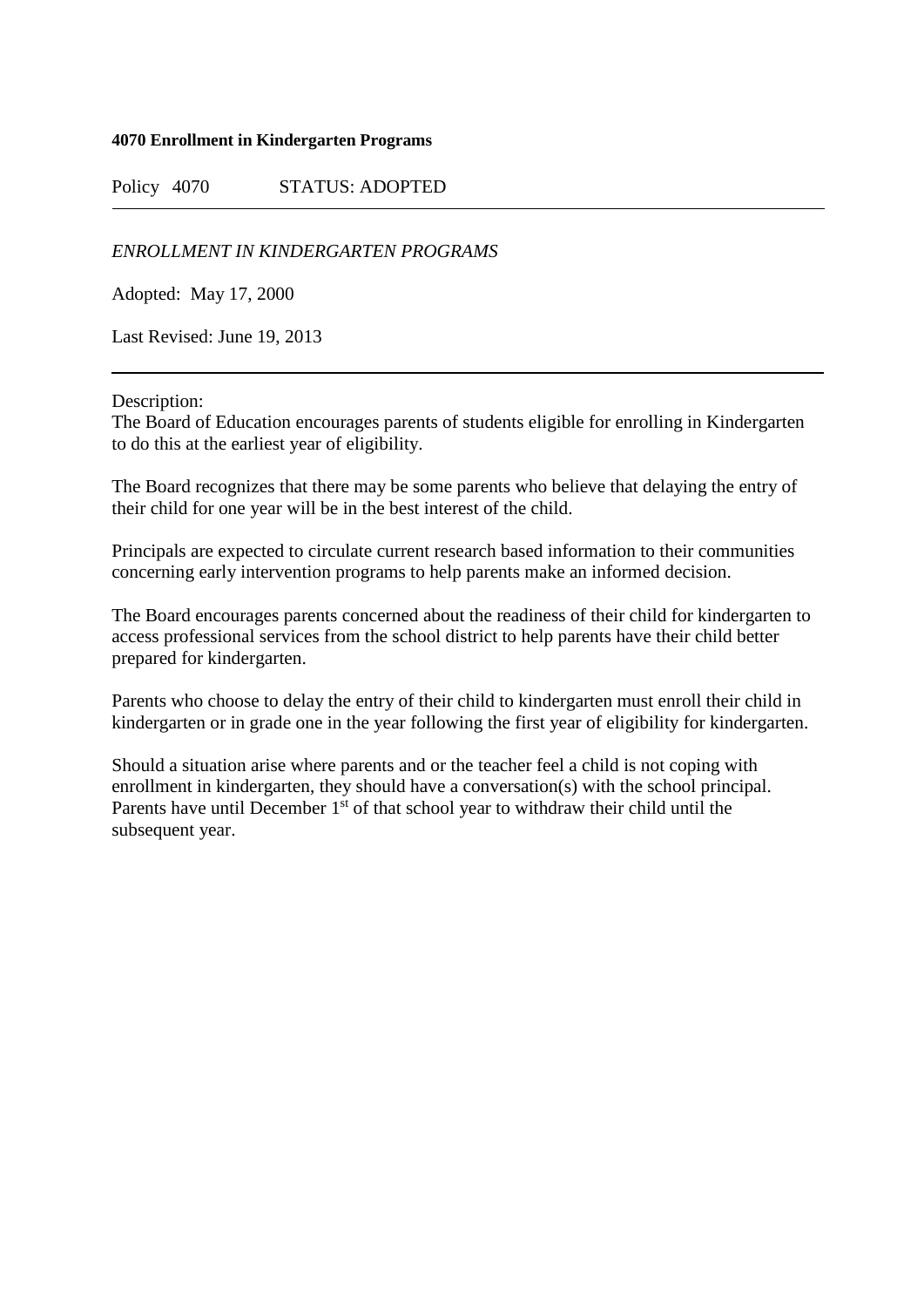## **4070 Enrollment in Kindergarten Programs**

Policy 4070 STATUS: ADOPTED

*ENROLLMENT IN KINDERGARTEN PROGRAMS*

Adopted: May 17, 2000

Last Revised: June 19, 2013

Description:

The Board of Education encourages parents of students eligible for enrolling in Kindergarten to do this at the earliest year of eligibility.

The Board recognizes that there may be some parents who believe that delaying the entry of their child for one year will be in the best interest of the child.

Principals are expected to circulate current research based information to their communities concerning early intervention programs to help parents make an informed decision.

The Board encourages parents concerned about the readiness of their child for kindergarten to access professional services from the school district to help parents have their child better prepared for kindergarten.

Parents who choose to delay the entry of their child to kindergarten must enroll their child in kindergarten or in grade one in the year following the first year of eligibility for kindergarten.

Should a situation arise where parents and or the teacher feel a child is not coping with enrollment in kindergarten, they should have a conversation(s) with the school principal. Parents have until December 1<sup>st</sup> of that school year to withdraw their child until the subsequent year.